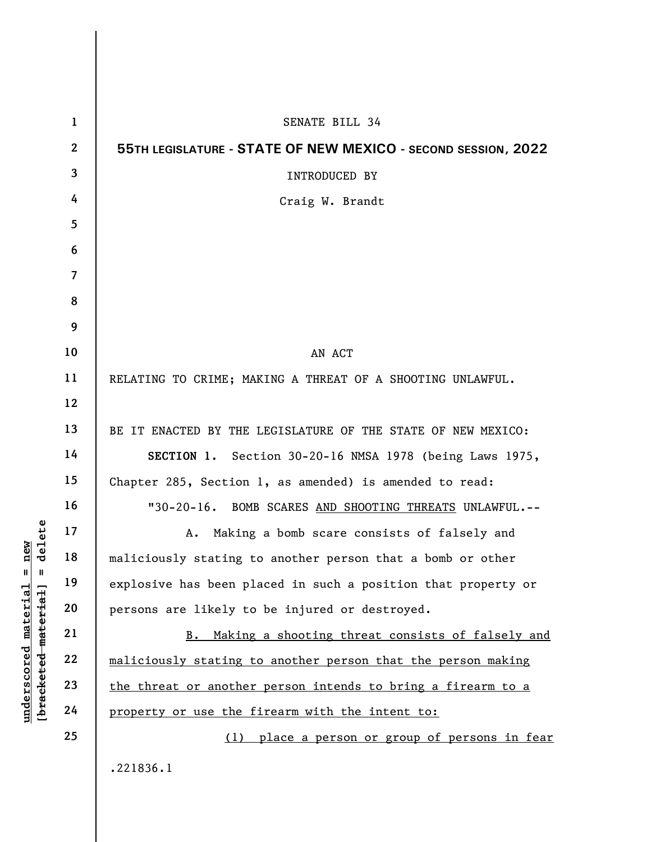|                                                                                                               | $\mathbf{1}$     | <b>SENATE BILL 34</b>                                         |
|---------------------------------------------------------------------------------------------------------------|------------------|---------------------------------------------------------------|
|                                                                                                               | $\boldsymbol{2}$ | 55TH LEGISLATURE - STATE OF NEW MEXICO - SECOND SESSION, 2022 |
|                                                                                                               | $\overline{3}$   | <b>INTRODUCED BY</b>                                          |
| delete<br>new<br>Ш<br>Ш<br>$\mathtt{materidal}$<br>[ <del>bracketed material</del><br>$\bm{{\rm underscore}}$ | 4                | Craig W. Brandt                                               |
|                                                                                                               | 5                |                                                               |
|                                                                                                               | 6                |                                                               |
|                                                                                                               | $\overline{7}$   |                                                               |
|                                                                                                               | 8                |                                                               |
|                                                                                                               | 9                |                                                               |
|                                                                                                               | 10               | AN ACT                                                        |
|                                                                                                               | 11               | RELATING TO CRIME; MAKING A THREAT OF A SHOOTING UNLAWFUL.    |
|                                                                                                               | 12               |                                                               |
|                                                                                                               | 13               | BE IT ENACTED BY THE LEGISLATURE OF THE STATE OF NEW MEXICO:  |
|                                                                                                               | 14               | SECTION 1. Section 30-20-16 NMSA 1978 (being Laws 1975,       |
|                                                                                                               | 15               | Chapter 285, Section 1, as amended) is amended to read:       |
|                                                                                                               | 16               | "30-20-16. BOMB SCARES AND SHOOTING THREATS UNLAWFUL.--       |
|                                                                                                               | 17               | Making a bomb scare consists of falsely and<br>A.             |
|                                                                                                               | 18               | maliciously stating to another person that a bomb or other    |
|                                                                                                               | 19               | explosive has been placed in such a position that property or |
|                                                                                                               | 20               | persons are likely to be injured or destroyed.                |
|                                                                                                               | 21               | Making a shooting threat consists of falsely and<br>B.        |
|                                                                                                               | 22               | maliciously stating to another person that the person making  |
|                                                                                                               | 23               | the threat or another person intends to bring a firearm to a  |
|                                                                                                               | 24               | property or use the firearm with the intent to:               |
|                                                                                                               | 25               | (1) place a person or group of persons in fear                |
|                                                                                                               |                  | .221836.1                                                     |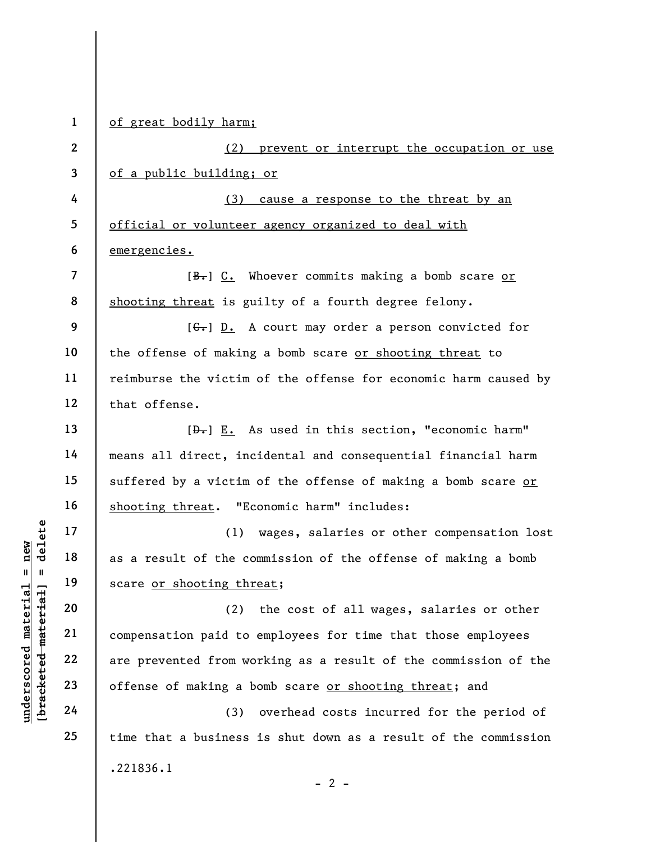1 of great bodily harm;

2 3 (2) prevent or interrupt the occupation or use of a public building; or

4 5 6 (3) cause a response to the threat by an official or volunteer agency organized to deal with emergencies.

 $[**B**]<sub>+</sub>] C. Whoever commits making a bomb scarce or$ shooting threat is guilty of a fourth degree felony.

9 10 11 12  $[G<sub>r</sub>]$  D. A court may order a person convicted for the offense of making a bomb scare or shooting threat to reimburse the victim of the offense for economic harm caused by that offense.

 $[\frac{D-1}{2}]$  E. As used in this section, "economic harm" means all direct, incidental and consequential financial harm suffered by a victim of the offense of making a bomb scare or shooting threat. "Economic harm" includes:

(1) wages, salaries or other compensation lost as a result of the commission of the offense of making a bomb scare or shooting threat;

underscore of making a begins the corresponding the scare or shooting three effects of the corresponding the scare or shooting three effects of making a begins 24 (3) (2) the cost of all wages, salaries or other compensation paid to employees for time that those employees are prevented from working as a result of the commission of the offense of making a bomb scare or shooting threat; and

(3) overhead costs incurred for the period of time that a business is shut down as a result of the commission .221836.1  $- 2 -$ 

7

8

13

14

15

16

17

18

19

20

21

22

23

24

25